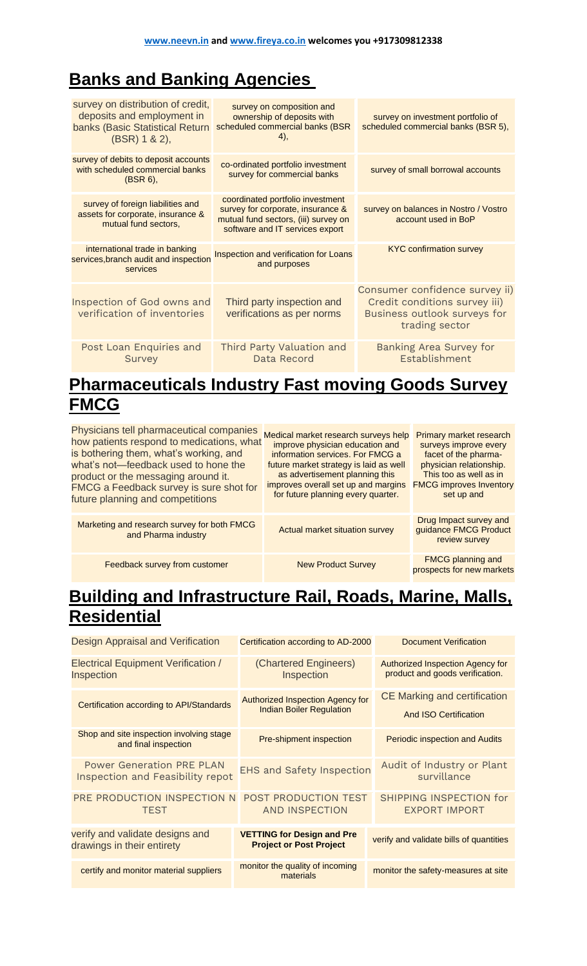# **[Banks and Banking Agencies](https://www.ask.com/web?q=Banks+and+Banking+Agencies%C2%A0&ad=dirN&qo=homepageSearchBox)**

| survey on distribution of credit,<br>deposits and employment in<br>banks (Basic Statistical Return<br>$(BSR)$ 1 & 2), | survey on composition and<br>ownership of deposits with<br>scheduled commercial banks (BSR<br>4),                                                | survey on investment portfolio of<br>scheduled commercial banks (BSR 5),                                          |
|-----------------------------------------------------------------------------------------------------------------------|--------------------------------------------------------------------------------------------------------------------------------------------------|-------------------------------------------------------------------------------------------------------------------|
| survey of debits to deposit accounts<br>with scheduled commercial banks<br>$(BSR 6)$ ,                                | co-ordinated portfolio investment<br>survey for commercial banks                                                                                 | survey of small borrowal accounts                                                                                 |
| survey of foreign liabilities and<br>assets for corporate, insurance &<br>mutual fund sectors,                        | coordinated portfolio investment<br>survey for corporate, insurance &<br>mutual fund sectors, (iii) survey on<br>software and IT services export | survey on balances in Nostro / Vostro<br>account used in BoP                                                      |
| international trade in banking<br>services, branch audit and inspection<br>services                                   | Inspection and verification for Loans<br>and purposes                                                                                            | <b>KYC confirmation survey</b>                                                                                    |
| Inspection of God owns and<br>verification of inventories                                                             | Third party inspection and<br>verifications as per norms                                                                                         | Consumer confidence survey ii)<br>Credit conditions survey iii)<br>Business outlook surveys for<br>trading sector |
| Post Loan Enquiries and<br>Survey                                                                                     | Third Party Valuation and<br>Data Record                                                                                                         | <b>Banking Area Survey for</b><br>Establishment                                                                   |

## **[Pharmaceuticals Industry Fast moving Goods Survey](https://www.qwant.com/?q=Pharmaceuticals+Industry+Fast+moving+Goods+Survey+FMCG&t=web)  [FMCG](https://www.qwant.com/?q=Pharmaceuticals+Industry+Fast+moving+Goods+Survey+FMCG&t=web)**

| Physicians tell pharmaceutical companies<br>how patients respond to medications, what<br>is bothering them, what's working, and<br>what's not-feedback used to hone the<br>product or the messaging around it.<br>FMCG a Feedback survey is sure shot for<br>future planning and competitions | Medical market research surveys help<br>improve physician education and<br>information services. For FMCG a<br>future market strategy is laid as well<br>as advertisement planning this<br>improves overall set up and margins<br>for future planning every quarter. | <b>Primary market research</b><br>surveys improve every<br>facet of the pharma-<br>physician relationship.<br>This too as well as in<br><b>FMCG improves Inventory</b><br>set up and |
|-----------------------------------------------------------------------------------------------------------------------------------------------------------------------------------------------------------------------------------------------------------------------------------------------|----------------------------------------------------------------------------------------------------------------------------------------------------------------------------------------------------------------------------------------------------------------------|--------------------------------------------------------------------------------------------------------------------------------------------------------------------------------------|
| Marketing and research survey for both FMCG<br>and Pharma industry                                                                                                                                                                                                                            | Actual market situation survey                                                                                                                                                                                                                                       | Drug Impact survey and<br>guidance FMCG Product<br>review survey                                                                                                                     |
| Feedback survey from customer                                                                                                                                                                                                                                                                 | <b>New Product Survey</b>                                                                                                                                                                                                                                            | <b>FMCG planning and</b><br>prospects for new markets                                                                                                                                |

### **[Building and Infrastructure Rail, Roads, Marine, Malls,](https://www.qwant.com/?q=Building+and+Infrastructure+Rail%2C+Roads%2C+Marine%2C+Malls%2C+Residential&t=web)  [Residential](https://www.qwant.com/?q=Building+and+Infrastructure+Rail%2C+Roads%2C+Marine%2C+Malls%2C+Residential&t=web)**

| Design Appraisal and Verification                                    | Certification according to AD-2000                                  | Document Verification                                               |
|----------------------------------------------------------------------|---------------------------------------------------------------------|---------------------------------------------------------------------|
| <b>Electrical Equipment Verification /</b><br>Inspection             | (Chartered Engineers)<br>Inspection                                 | Authorized Inspection Agency for<br>product and goods verification. |
| Certification according to API/Standards                             | Authorized Inspection Agency for<br><b>Indian Boiler Regulation</b> | <b>CE Marking and certification</b><br><b>And ISO Certification</b> |
| Shop and site inspection involving stage<br>and final inspection     | Pre-shipment inspection                                             | <b>Periodic inspection and Audits</b>                               |
| <b>Power Generation PRE PLAN</b><br>Inspection and Feasibility repot | <b>EHS and Safety Inspection</b>                                    | Audit of Industry or Plant<br>survillance                           |
| PRE PRODUCTION INSPECTION N<br><b>TEST</b>                           | POST PRODUCTION TEST<br>AND INSPECTION                              | SHIPPING INSPECTION for<br><b>EXPORT IMPORT</b>                     |
| verify and validate designs and<br>drawings in their entirety        | <b>VETTING for Design and Pre</b><br><b>Project or Post Project</b> | verify and validate bills of quantities                             |
| certify and monitor material suppliers                               | monitor the quality of incoming<br>materials                        | monitor the safety-measures at site                                 |